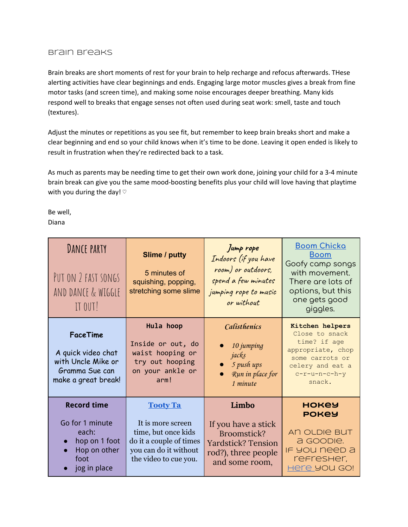## Brain Breaks

Brain breaks are short moments of rest for your brain to help recharge and refocus afterwards. THese alerting activities have clear beginnings and ends. Engaging large motor muscles gives a break from fine motor tasks (and screen time), and making some noise encourages deeper breathing. Many kids respond well to breaks that engage senses not often used during seat work: smell, taste and touch (textures).

Adjust the minutes or repetitions as you see fit, but remember to keep brain breaks short and make a clear beginning and end so your child knows when it's time to be done. Leaving it open ended is likely to result in frustration when they're redirected back to a task.

As much as parents may be needing time to get their own work done, joining your child for a 3-4 minute brain break can give you the same mood-boosting benefits plus your child will love having that playtime with you during the day!  $\heartsuit$ 

Be well, Diana

| <b>DANCE PARTY</b><br>PUT ON 2 FAST SONGS<br>AND DANCE & WIGGLE<br>IT OUT!                              | <b>Slime / putty</b><br>5 minutes of<br>squishing, popping,<br>stretching some slime                                                     | Jump rope<br>Indoors (if you have<br>room) or outdoors,<br>spend a few minutes<br>jumping rope to music<br>or without | <u>Boom Chicka</u><br><b>Boom</b><br>Goofy camp songs<br>with movement.<br>There are lots of<br>options, but this<br>one gets good<br>giggles. |
|---------------------------------------------------------------------------------------------------------|------------------------------------------------------------------------------------------------------------------------------------------|-----------------------------------------------------------------------------------------------------------------------|------------------------------------------------------------------------------------------------------------------------------------------------|
| <b>FaceTime</b><br>A quick video chat<br>with Uncle Mike or<br>Gramma Sue can<br>make a great break!    | Hula hoop<br>Inside or out, do<br>waist hooping or<br>try out hooping<br>on your ankle or<br>arm!                                        | <b>Calisthenics</b><br>10 jumping<br>jacks<br>5 push ups<br>Run in place for<br>1 minute                              | Kitchen helpers<br>Close to snack<br>time? if age<br>appropriate, chop<br>some carrots or<br>celery and eat a<br>$c-r-u-n-c-h-y$<br>snack.     |
| <b>Record time</b><br>Go for 1 minute<br>each:<br>hop on 1 foot<br>Hop on other<br>foot<br>jog in place | <b>Tooty Ta</b><br>It is more screen<br>time, but once kids<br>do it a couple of times<br>you can do it without<br>the video to cue you. | Limbo<br>If you have a stick<br>Broomstick?<br><b>Yardstick? Tension</b><br>rod?), three people<br>and some room,     | <b>HOKEY</b><br><b>POKEY</b><br>AN OLDIE BUT<br>a GOODIe.<br>IF YOU Need a<br>refresher,<br>Here you Go!                                       |